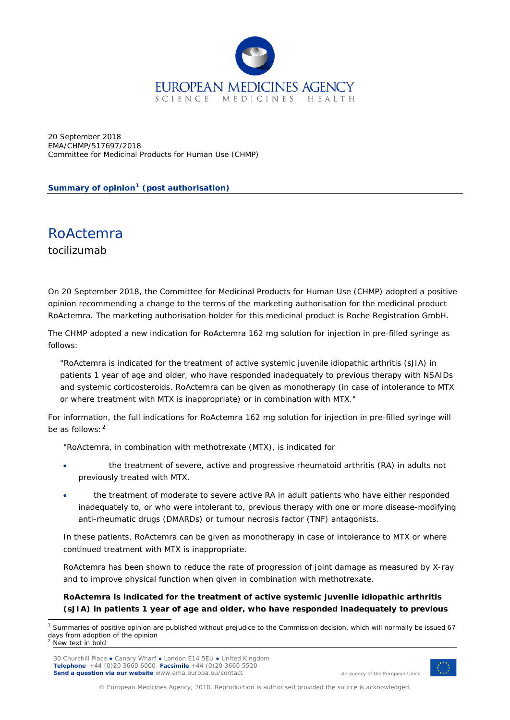

20 September 2018 EMA/CHMP/517697/2018 Committee for Medicinal Products for Human Use (CHMP)

**Summary of opinion[1](#page-0-0) (post authorisation)**

RoActemra tocilizumab

On 20 September 2018, the Committee for Medicinal Products for Human Use (CHMP) adopted a positive opinion recommending a change to the terms of the marketing authorisation for the medicinal product RoActemra. The marketing authorisation holder for this medicinal product is Roche Registration GmbH.

The CHMP adopted a new indication for RoActemra 162 mg solution for injection in pre-filled syringe as follows:

"RoActemra is indicated for the treatment of active systemic juvenile idiopathic arthritis (sJIA) in patients 1 year of age and older, who have responded inadequately to previous therapy with NSAIDs and systemic corticosteroids. RoActemra can be given as monotherapy (in case of intolerance to MTX or where treatment with MTX is inappropriate) or in combination with MTX."

For information, the full indications for RoActemra 162 mg solution for injection in pre-filled syringe will be as follows:  $2$ 

"RoActemra, in combination with methotrexate (MTX), is indicated for

- the treatment of severe, active and progressive rheumatoid arthritis (RA) in adults not previously treated with MTX.
- the treatment of moderate to severe active RA in adult patients who have either responded inadequately to, or who were intolerant to, previous therapy with one or more disease-modifying anti-rheumatic drugs (DMARDs) or tumour necrosis factor (TNF) antagonists.

In these patients, RoActemra can be given as monotherapy in case of intolerance to MTX or where continued treatment with MTX is inappropriate.

RoActemra has been shown to reduce the rate of progression of joint damage as measured by X-ray and to improve physical function when given in combination with methotrexate.

## **RoActemra is indicated for the treatment of active systemic juvenile idiopathic arthritis (sJIA) in patients 1 year of age and older, who have responded inadequately to previous**



An agency of the European Union

<span id="page-0-1"></span><span id="page-0-0"></span><sup>&</sup>lt;sup>1</sup> Summaries of positive opinion are published without prejudice to the Commission decision, which will normally be issued 67 days from adoption of the opinion New text in bold

<sup>30</sup> Churchill Place **●** Canary Wharf **●** London E14 5EU **●** United Kingdom **Telephone** +44 (0)20 3660 6000 **Facsimile** +44 (0)20 3660 5520 **Send a question via our website** www.ema.europa.eu/contact